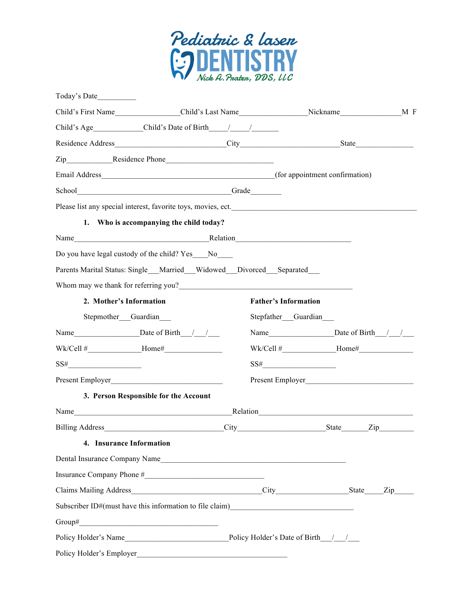

| Child's Age Child's Date of Birth / /                                            |                                                                                                                        |                             |       |
|----------------------------------------------------------------------------------|------------------------------------------------------------------------------------------------------------------------|-----------------------------|-------|
|                                                                                  |                                                                                                                        |                             | State |
|                                                                                  |                                                                                                                        |                             |       |
|                                                                                  |                                                                                                                        |                             |       |
|                                                                                  |                                                                                                                        |                             |       |
| Please list any special interest, favorite toys, movies, ect.                    |                                                                                                                        |                             |       |
| 1. Who is accompanying the child today?                                          |                                                                                                                        |                             |       |
| Name Relation Relation                                                           |                                                                                                                        |                             |       |
| Do you have legal custody of the child? Yes No                                   |                                                                                                                        |                             |       |
| Parents Marital Status: Single Married Widowed Divorced Separated                |                                                                                                                        |                             |       |
|                                                                                  |                                                                                                                        |                             |       |
| 2. Mother's Information                                                          |                                                                                                                        | <b>Father's Information</b> |       |
| Stepmother Guardian                                                              |                                                                                                                        | Stepfather_Guardian_        |       |
|                                                                                  |                                                                                                                        |                             |       |
|                                                                                  |                                                                                                                        |                             |       |
| $SS\#$                                                                           |                                                                                                                        | $SS\#$                      |       |
| Present Employer                                                                 |                                                                                                                        |                             |       |
| 3. Person Responsible for the Account                                            |                                                                                                                        |                             |       |
|                                                                                  |                                                                                                                        |                             |       |
|                                                                                  |                                                                                                                        |                             |       |
| <b>Insurance Information</b><br>4.                                               |                                                                                                                        |                             |       |
| Dental Insurance Company Name                                                    |                                                                                                                        |                             |       |
|                                                                                  |                                                                                                                        |                             |       |
|                                                                                  |                                                                                                                        |                             |       |
| Subscriber ID#(must have this information to file claim)________________________ |                                                                                                                        |                             |       |
|                                                                                  |                                                                                                                        |                             |       |
| Policy Holder's Name Policy Holder's Date of Birth //                            |                                                                                                                        |                             |       |
| Policy Holder's Employer                                                         | <u> 1989 - Johann Stoff, deutscher Stoffen und der Stoffen und der Stoffen und der Stoffen und der Stoffen und der</u> |                             |       |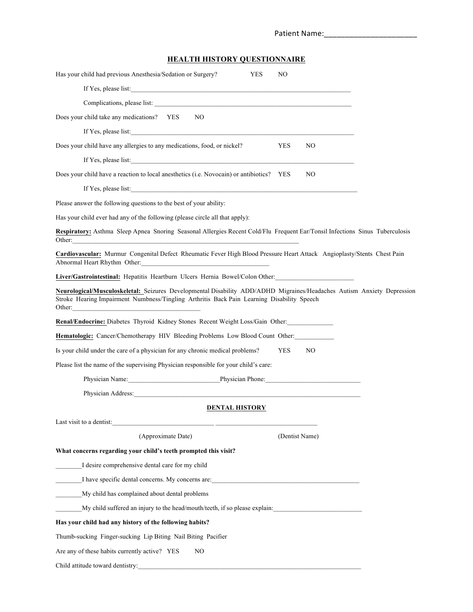| Patient Name: |  |  |  |  |
|---------------|--|--|--|--|
|               |  |  |  |  |

# **HEALTH HISTORY QUESTIONNAIRE**

| Has your child had previous Anesthesia/Sedation or Surgery?<br><b>YES</b><br>NO                                                                                                                                                |  |
|--------------------------------------------------------------------------------------------------------------------------------------------------------------------------------------------------------------------------------|--|
| If Yes, please list:                                                                                                                                                                                                           |  |
|                                                                                                                                                                                                                                |  |
| N <sub>O</sub><br>Does your child take any medications? YES                                                                                                                                                                    |  |
| If Yes, please list:                                                                                                                                                                                                           |  |
| Does your child have any allergies to any medications, food, or nickel?<br><b>YES</b><br>NO                                                                                                                                    |  |
| If Yes, please list:                                                                                                                                                                                                           |  |
| Does your child have a reaction to local anesthetics (i.e. Novocain) or antibiotics? YES<br>NO                                                                                                                                 |  |
| If Yes, please list:                                                                                                                                                                                                           |  |
| Please answer the following questions to the best of your ability:                                                                                                                                                             |  |
| Has your child ever had any of the following (please circle all that apply):                                                                                                                                                   |  |
| Respiratory: Asthma Sleep Apnea Snoring Seasonal Allergies Recent Cold/Flu Frequent Ear/Tonsil Infections Sinus Tuberculosis<br>Other:                                                                                         |  |
| Cardiovascular: Murmur Congenital Defect Rheumatic Fever High Blood Pressure Heart Attack Angioplasty/Stents Chest Pain<br>Abnormal Heart Rhythm Other: New York 1988 and 2008                                                 |  |
| <b>Liver/Gastrointestinal:</b> Hepatitis Heartburn Ulcers Hernia Bowel/Colon Other:                                                                                                                                            |  |
| Neurological/Musculoskeletal: Seizures Developmental Disability ADD/ADHD Migraines/Headaches Autism Anxiety Depression<br>Stroke Hearing Impairment Numbness/Tingling Arthritis Back Pain Learning Disability Speech<br>Other: |  |
| Renal/Endocrine: Diabetes Thyroid Kidney Stones Recent Weight Loss/Gain Other:                                                                                                                                                 |  |
| Hematologic: Cancer/Chemotherapy HIV Bleeding Problems Low Blood Count Other:                                                                                                                                                  |  |
| Is your child under the care of a physician for any chronic medical problems?<br><b>YES</b><br>N <sub>O</sub>                                                                                                                  |  |
| Please list the name of the supervising Physician responsible for your child's care:                                                                                                                                           |  |
| Physician Name: Physician Phone:                                                                                                                                                                                               |  |
| Physician Address: Manual Manual Manual Manual Manual Manual Manual Manual Manual Manual Manual Manual Manual                                                                                                                  |  |
| <b>DENTAL HISTORY</b>                                                                                                                                                                                                          |  |
| Last visit to a dentist:                                                                                                                                                                                                       |  |
| (Approximate Date)<br>(Dentist Name)                                                                                                                                                                                           |  |
| What concerns regarding your child's teeth prompted this visit?                                                                                                                                                                |  |
| I desire comprehensive dental care for my child                                                                                                                                                                                |  |
| I have specific dental concerns. My concerns are:                                                                                                                                                                              |  |
| My child has complained about dental problems                                                                                                                                                                                  |  |
| My child suffered an injury to the head/mouth/teeth, if so please explain:                                                                                                                                                     |  |
| Has your child had any history of the following habits?                                                                                                                                                                        |  |
| Thumb-sucking Finger-sucking Lip Biting Nail Biting Pacifier                                                                                                                                                                   |  |
| Are any of these habits currently active? YES<br>NO                                                                                                                                                                            |  |
| Child attitude toward dentistry:                                                                                                                                                                                               |  |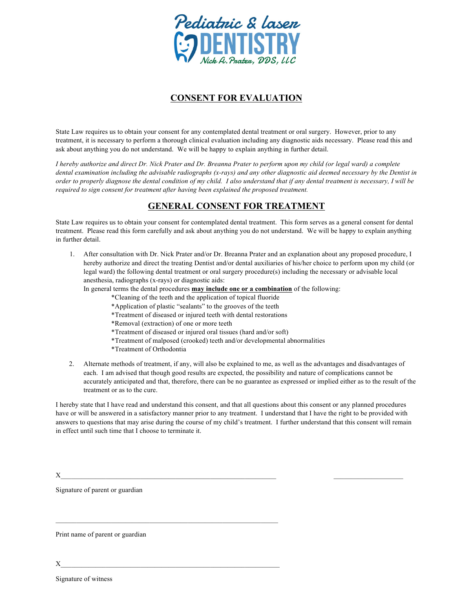

# **CONSENT FOR EVALUATION**

State Law requires us to obtain your consent for any contemplated dental treatment or oral surgery. However, prior to any treatment, it is necessary to perform a thorough clinical evaluation including any diagnostic aids necessary. Please read this and ask about anything you do not understand. We will be happy to explain anything in further detail.

*I hereby authorize and direct Dr. Nick Prater and Dr. Breanna Prater to perform upon my child (or legal ward) a complete dental examination including the advisable radiographs (x-rays) and any other diagnostic aid deemed necessary by the Dentist in order to properly diagnose the dental condition of my child. I also understand that if any dental treatment is necessary, I will be required to sign consent for treatment after having been explained the proposed treatment.* 

## **GENERAL CONSENT FOR TREATMENT**

State Law requires us to obtain your consent for contemplated dental treatment. This form serves as a general consent for dental treatment. Please read this form carefully and ask about anything you do not understand. We will be happy to explain anything in further detail.

1. After consultation with Dr. Nick Prater and/or Dr. Breanna Prater and an explanation about any proposed procedure, I hereby authorize and direct the treating Dentist and/or dental auxiliaries of his/her choice to perform upon my child (or legal ward) the following dental treatment or oral surgery procedure(s) including the necessary or advisable local anesthesia, radiographs (x-rays) or diagnostic aids:

In general terms the dental procedures **may include one or a combination** of the following:

- \*Cleaning of the teeth and the application of topical fluoride
- \*Application of plastic "sealants" to the grooves of the teeth
- \*Treatment of diseased or injured teeth with dental restorations
- \*Removal (extraction) of one or more teeth

 $\mathcal{L}_\text{max} = \frac{1}{2} \sum_{i=1}^n \mathcal{L}_\text{max} = \frac{1}{2} \sum_{i=1}^n \mathcal{L}_\text{max} = \frac{1}{2} \sum_{i=1}^n \mathcal{L}_\text{max} = \frac{1}{2} \sum_{i=1}^n \mathcal{L}_\text{max} = \frac{1}{2} \sum_{i=1}^n \mathcal{L}_\text{max} = \frac{1}{2} \sum_{i=1}^n \mathcal{L}_\text{max} = \frac{1}{2} \sum_{i=1}^n \mathcal{L}_\text{max} = \frac{1}{2} \sum_{i=$ 

- \*Treatment of diseased or injured oral tissues (hard and/or soft)
- \*Treatment of malposed (crooked) teeth and/or developmental abnormalities
- \*Treatment of Orthodontia
- 2. Alternate methods of treatment, if any, will also be explained to me, as well as the advantages and disadvantages of each. I am advised that though good results are expected, the possibility and nature of complications cannot be accurately anticipated and that, therefore, there can be no guarantee as expressed or implied either as to the result of the treatment or as to the cure.

I hereby state that I have read and understand this consent, and that all questions about this consent or any planned procedures have or will be answered in a satisfactory manner prior to any treatment. I understand that I have the right to be provided with answers to questions that may arise during the course of my child's treatment. I further understand that this consent will remain in effect until such time that I choose to terminate it.

 $X_\_$ 

Signature of parent or guardian

Print name of parent or guardian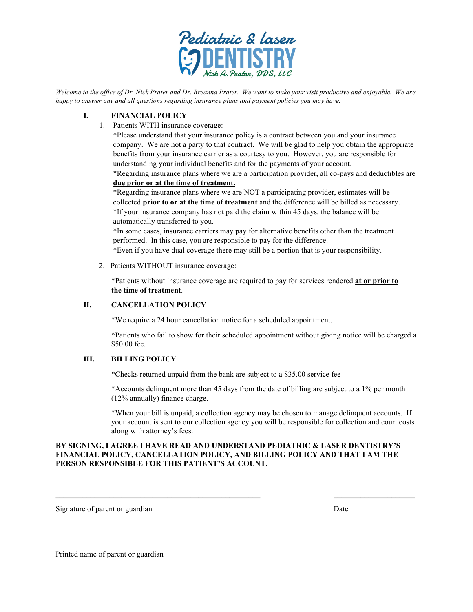

*Welcome to the office of Dr. Nick Prater and Dr. Breanna Prater. We want to make your visit productive and enjoyable. We are happy to answer any and all questions regarding insurance plans and payment policies you may have.* 

#### **I. FINANCIAL POLICY**

1. Patients WITH insurance coverage:

\*Please understand that your insurance policy is a contract between you and your insurance company. We are not a party to that contract. We will be glad to help you obtain the appropriate benefits from your insurance carrier as a courtesy to you. However, you are responsible for understanding your individual benefits and for the payments of your account.

\*Regarding insurance plans where we are a participation provider, all co-pays and deductibles are **due prior or at the time of treatment.**

\*Regarding insurance plans where we are NOT a participating provider, estimates will be collected **prior to or at the time of treatment** and the difference will be billed as necessary. \*If your insurance company has not paid the claim within 45 days, the balance will be automatically transferred to you.

\*In some cases, insurance carriers may pay for alternative benefits other than the treatment performed. In this case, you are responsible to pay for the difference.

\*Even if you have dual coverage there may still be a portion that is your responsibility.

2. Patients WITHOUT insurance coverage:

\*Patients without insurance coverage are required to pay for services rendered **at or prior to the time of treatment**.

#### **II. CANCELLATION POLICY**

\*We require a 24 hour cancellation notice for a scheduled appointment.

\*Patients who fail to show for their scheduled appointment without giving notice will be charged a \$50.00 fee.

#### **III. BILLING POLICY**

\*Checks returned unpaid from the bank are subject to a \$35.00 service fee

\*Accounts delinquent more than 45 days from the date of billing are subject to a 1% per month (12% annually) finance charge.

\*When your bill is unpaid, a collection agency may be chosen to manage delinquent accounts. If your account is sent to our collection agency you will be responsible for collection and court costs along with attorney's fees.

#### **BY SIGNING, I AGREE I HAVE READ AND UNDERSTAND PEDIATRIC & LASER DENTISTRY'S FINANCIAL POLICY, CANCELLATION POLICY, AND BILLING POLICY AND THAT I AM THE PERSON RESPONSIBLE FOR THIS PATIENT'S ACCOUNT.**

Signature of parent or guardian Date

Printed name of parent or guardian